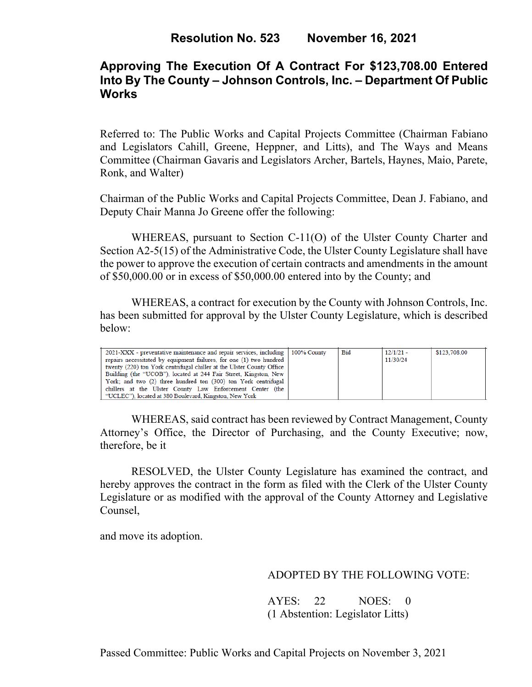# **Approving The Execution Of A Contract For \$123,708.00 Entered Into By The County – Johnson Controls, Inc. – Department Of Public Works**

Referred to: The Public Works and Capital Projects Committee (Chairman Fabiano and Legislators Cahill, Greene, Heppner, and Litts), and The Ways and Means Committee (Chairman Gavaris and Legislators Archer, Bartels, Haynes, Maio, Parete, Ronk, and Walter)

Chairman of the Public Works and Capital Projects Committee, Dean J. Fabiano, and Deputy Chair Manna Jo Greene offer the following:

WHEREAS, pursuant to Section C-11(O) of the Ulster County Charter and Section A2-5(15) of the Administrative Code, the Ulster County Legislature shall have the power to approve the execution of certain contracts and amendments in the amount of \$50,000.00 or in excess of \$50,000.00 entered into by the County; and

WHEREAS, a contract for execution by the County with Johnson Controls, Inc. has been submitted for approval by the Ulster County Legislature, which is described below:

| 2021-XXX - preventative maintenance and repair services, including 100% County<br>repairs necessitated by equipment failures, for one (1) two hundred<br>twenty (220) ton York centrifugal chiller at the Ulster County Office<br>Building (the "UCOB"), located at 244 Fair Street, Kingston, New<br>York; and two (2) three hundred ton (300) ton York centrifugal<br>chillers at the Ulster County Law Enforcement Center (the | <b>Bid</b> | $12/1/21 -$<br>11/30/24 | \$123,708.00 |
|-----------------------------------------------------------------------------------------------------------------------------------------------------------------------------------------------------------------------------------------------------------------------------------------------------------------------------------------------------------------------------------------------------------------------------------|------------|-------------------------|--------------|
| "UCLEC"). located at 380 Boulevard. Kingston. New York                                                                                                                                                                                                                                                                                                                                                                            |            |                         |              |

WHEREAS, said contract has been reviewed by Contract Management, County Attorney's Office, the Director of Purchasing, and the County Executive; now, therefore, be it

RESOLVED, the Ulster County Legislature has examined the contract, and hereby approves the contract in the form as filed with the Clerk of the Ulster County Legislature or as modified with the approval of the County Attorney and Legislative Counsel,

and move its adoption.

## ADOPTED BY THE FOLLOWING VOTE:

 AYES: 22 NOES: 0 (1 Abstention: Legislator Litts)